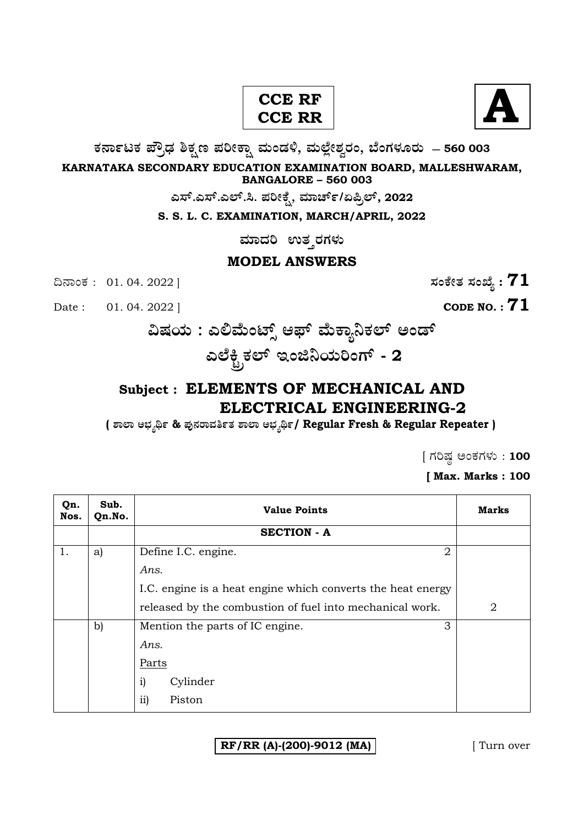# **A CCE RF CCE RR**



**O⁄´¤%lO⁄ ÆË√v⁄ ÃO⁄–y Æ⁄¬fiO¤– »⁄flMs⁄ÿ, »⁄fl≈Ê«fiÀ⁄ ¡⁄M, ∑ÊMV⁄◊⁄‡¡⁄fl — 560 003** 

**KARNATAKA SECONDARY EDUCATION EXAMINATION BOARD, MALLESHWARAM, BANGALORE – 560 003** 

**G—È.G—È.G≈È.". Æ⁄¬fiOÊ⁄–, »⁄·¤^È%/HØ√≈È, 2022**

**S. S. L. C. EXAMINATION, MARCH/APRIL, 2022** 

**ಮಾದರಿ ಉತ**್ತರಗಳು

#### **MODEL ANSWERS**

¶´¤MO⁄ : 01. 04. 2022 ] **—⁄MOÊfi}⁄ —⁄MSÊ¿ : 71**

Date :  $01. 04. 2022$  ] **CODE NO. : 71** 

**…Œ⁄æ⁄fl : GΔ»ÊflMmÈ" A±È »ÊflO¤¿¨O⁄≈È @MsÈ**  ಎಲೆಕ್ಟ್ರಿಕಲ್ ಇಂಜಿನಿಯರಿಂಗ್ - 2

# **Subject : ELEMENTS OF MECHANICAL AND ELECTRICAL ENGINEERING-2**

**( À¤≈¤ @∫⁄¥¿£% & Æ⁄'¥´⁄¡¤»⁄~%}⁄ À¤≈¤ @∫⁄¥¿£%/ Regular Fresh & Regular Repeater )** 

 $\int$  ಗರಿಷ್ಠ ಅಂಕಗಳು : 100

**[ Max. Marks : 100** 

| Qn.<br>Nos. | Sub.<br>Qn.No. | <b>Value Points</b>                                         | <b>Marks</b> |
|-------------|----------------|-------------------------------------------------------------|--------------|
|             |                | <b>SECTION - A</b>                                          |              |
| 1.          | a)             | 2<br>Define I.C. engine.                                    |              |
|             |                | Ans.                                                        |              |
|             |                | I.C. engine is a heat engine which converts the heat energy |              |
|             |                | released by the combustion of fuel into mechanical work.    | 2            |
|             | $\mathbf{b}$   | 3<br>Mention the parts of IC engine.                        |              |
|             |                | Ans.                                                        |              |
|             |                | Parts                                                       |              |
|             |                | $\mathbf{i}$<br>Cylinder                                    |              |
|             |                | ii)<br>Piston                                               |              |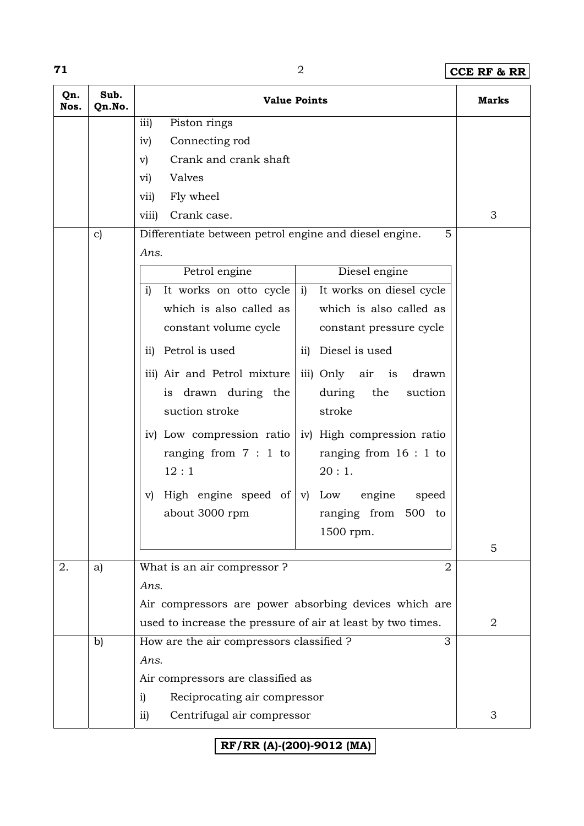## **71** 2 **CCE RF & RR**

| Qn.<br>Nos. | Sub.<br>Qn.No. | <b>Value Points</b>                                            | Marks          |
|-------------|----------------|----------------------------------------------------------------|----------------|
|             |                | iii)<br>Piston rings                                           |                |
|             |                | Connecting rod<br>iv)                                          |                |
|             |                | Crank and crank shaft<br>$\mathbf{v})$                         |                |
|             |                | Valves<br>vi)                                                  |                |
|             |                | Fly wheel<br>vii)                                              |                |
|             |                | Crank case.<br>viii)                                           | 3              |
|             | $\mathbf{c})$  | Differentiate between petrol engine and diesel engine.<br>5    |                |
|             |                | Ans.                                                           |                |
|             |                | Petrol engine<br>Diesel engine                                 |                |
|             |                | It works on diesel cycle<br>i)<br>It works on otto cycle<br>i) |                |
|             |                | which is also called as<br>which is also called as             |                |
|             |                | constant volume cycle<br>constant pressure cycle               |                |
|             |                | ii) Petrol is used<br>ii) Diesel is used                       |                |
|             |                | iii) Air and Petrol mixture<br>iii) Only air<br>is<br>drawn    |                |
|             |                | during the<br>drawn during the<br>suction<br>is                |                |
|             |                | suction stroke<br>stroke                                       |                |
|             |                | iv) Low compression ratio<br>iv) High compression ratio        |                |
|             |                | ranging from $7:1$ to<br>ranging from $16:1$ to                |                |
|             |                | 12:1<br>20:1.                                                  |                |
|             |                | High engine speed of $ v $ Low<br>engine<br>speed<br>V)        |                |
|             |                | about 3000 rpm<br>ranging from 500 to                          |                |
|             |                | 1500 rpm.                                                      |                |
|             |                |                                                                | 5              |
| 2.          | a)             | What is an air compressor ?<br>2                               |                |
|             |                | Ans.                                                           |                |
|             |                | Air compressors are power absorbing devices which are          |                |
|             |                | used to increase the pressure of air at least by two times.    | $\overline{2}$ |
|             | $\mathbf{b}$   | How are the air compressors classified ?<br>3                  |                |
|             |                | Ans.                                                           |                |
|             |                | Air compressors are classified as                              |                |
|             |                | Reciprocating air compressor<br>i)                             |                |
|             |                | Centrifugal air compressor<br>$\overline{11}$                  | 3              |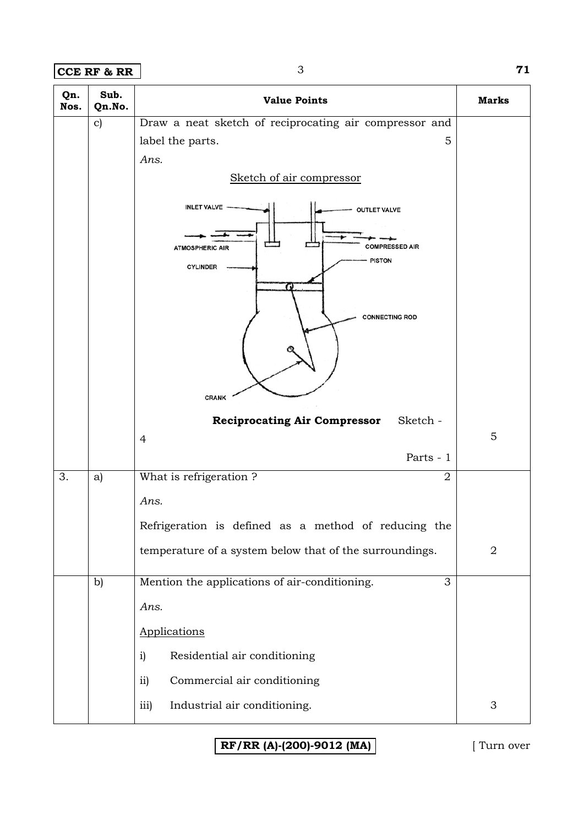**CCE RF & RR** 3 **71** 

| Qn.<br>Nos. | Sub.<br>Qn.No. | <b>Value Points</b>                                     | <b>Marks</b>   |
|-------------|----------------|---------------------------------------------------------|----------------|
|             | $\mathbf{c})$  | Draw a neat sketch of reciprocating air compressor and  |                |
|             |                | 5<br>label the parts.                                   |                |
|             |                | Ans.                                                    |                |
|             |                | Sketch of air compressor                                |                |
|             |                | <b>INLET VALVE</b><br><b>OUTLET VALVE</b>               |                |
|             |                | <b>COMPRESSED AIR</b><br><b>ATMOSPHERIC AIR</b>         |                |
|             |                | <b>PISTON</b><br><b>CYLINDER</b>                        |                |
|             |                |                                                         |                |
|             |                | <b>CONNECTING ROD</b>                                   |                |
|             |                |                                                         |                |
|             |                |                                                         |                |
|             |                |                                                         |                |
|             |                | <b>CRANK</b>                                            |                |
|             |                | Sketch -<br><b>Reciprocating Air Compressor</b>         | 5              |
|             |                | $\overline{4}$<br>Parts - 1                             |                |
| 3.          | a)             | What is refrigeration?<br>$\overline{2}$                |                |
|             |                |                                                         |                |
|             |                | Ans.                                                    |                |
|             |                | Refrigeration is defined as a method of reducing the    |                |
|             |                | temperature of a system below that of the surroundings. | $\overline{2}$ |
|             | b)             | Mention the applications of air-conditioning.<br>3      |                |
|             |                | Ans.                                                    |                |
|             |                | Applications                                            |                |
|             |                | Residential air conditioning<br>i)                      |                |
|             |                | Commercial air conditioning<br>$\overline{11}$          |                |
|             |                | Industrial air conditioning.<br>iii)                    | 3              |
|             |                |                                                         |                |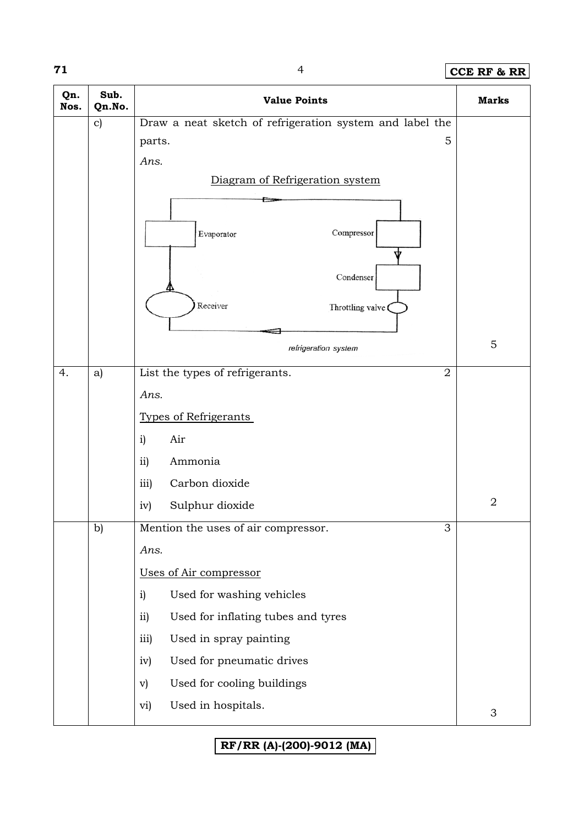## **71** 4 **CCE RF & RR**

| Qn.<br>Nos. | Sub.<br>Qn.No. | <b>Value Points</b>                                      | <b>Marks</b>     |
|-------------|----------------|----------------------------------------------------------|------------------|
|             | $\mathbf{c})$  | Draw a neat sketch of refrigeration system and label the |                  |
|             |                | 5<br>parts.                                              |                  |
|             |                | Ans.                                                     |                  |
|             |                | Diagram of Refrigeration system                          |                  |
|             |                |                                                          |                  |
|             |                | Compressor<br>Evaporator                                 |                  |
|             |                | Condenser                                                |                  |
|             |                | Receiver<br>Throttling valve                             |                  |
|             |                |                                                          | 5                |
|             |                | refrigeration system                                     |                  |
| 4.          | a)             | List the types of refrigerants.<br>$\overline{2}$        |                  |
|             |                | Ans.                                                     |                  |
|             |                | <b>Types of Refrigerants</b>                             |                  |
|             |                | Air<br>i)                                                |                  |
|             |                | Ammonia<br>ii)                                           |                  |
|             |                | Carbon dioxide<br>iii)                                   |                  |
|             |                | Sulphur dioxide<br>iv)                                   | $\boldsymbol{2}$ |
|             | b)             | 3<br>Mention the uses of air compressor.                 |                  |
|             |                | Ans.                                                     |                  |
|             |                | Uses of Air compressor                                   |                  |
|             |                | Used for washing vehicles<br>i)                          |                  |
|             |                | ii)<br>Used for inflating tubes and tyres                |                  |
|             |                | iii)<br>Used in spray painting                           |                  |
|             |                | Used for pneumatic drives<br>iv)                         |                  |
|             |                | Used for cooling buildings<br>$\mathbf{v})$              |                  |
|             |                | Used in hospitals.<br>vi)                                |                  |
|             |                |                                                          | $\mathfrak{Z}$   |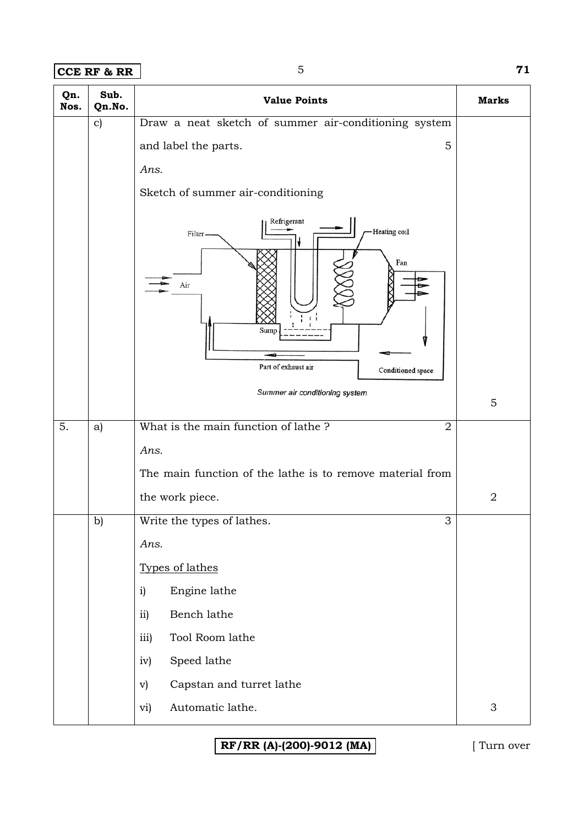**CCE RF & RR** 5 **71** 

| Qn.<br>Nos. | Sub.<br>Qn.No. | <b>Value Points</b>                                                                                                                        | <b>Marks</b>   |
|-------------|----------------|--------------------------------------------------------------------------------------------------------------------------------------------|----------------|
|             | $\mathbf{c})$  | Draw a neat sketch of summer air-conditioning system<br>5<br>and label the parts.<br>Ans.<br>Sketch of summer air-conditioning             |                |
|             |                | Refrigerant<br>Heating coil<br>Filter.<br>Fan<br>Air<br>Sump<br>Part of exhaust air<br>Conditioned space<br>Summer air conditioning system | 5              |
| 5.          | a)             | What is the main function of lathe?<br>$\overline{2}$                                                                                      |                |
|             |                | Ans.<br>The main function of the lathe is to remove material from                                                                          |                |
|             |                | the work piece.                                                                                                                            | $\overline{2}$ |
|             | b)             | C.<br>Write the types of lathes.<br>◡                                                                                                      |                |
|             |                | Ans.                                                                                                                                       |                |
|             |                | Types of lathes                                                                                                                            |                |
|             |                | Engine lathe<br>i)<br>ii)<br>Bench lathe                                                                                                   |                |
|             |                | iii)<br>Tool Room lathe                                                                                                                    |                |
|             |                | Speed lathe<br>iv)                                                                                                                         |                |
|             |                | Capstan and turret lathe<br>$\mathbf{v})$                                                                                                  |                |
|             |                | Automatic lathe.<br>vi)                                                                                                                    | $\mathfrak{S}$ |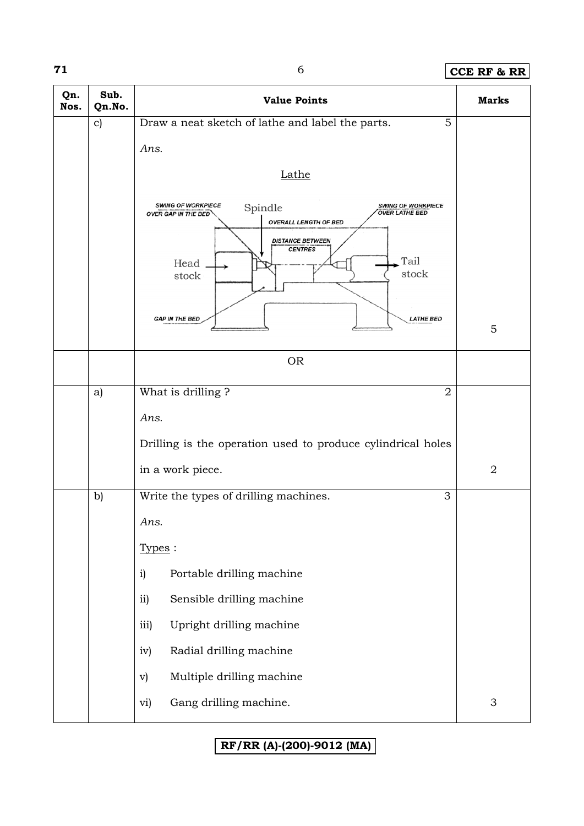## **71** 6 **CCE RF & RR**

| Qn.<br>Nos. | Sub.<br>Qn.No. | <b>Value Points</b>                                                                                                                                                                                                                     | <b>Marks</b>              |
|-------------|----------------|-----------------------------------------------------------------------------------------------------------------------------------------------------------------------------------------------------------------------------------------|---------------------------|
|             | $\mathbf{c})$  | Draw a neat sketch of lathe and label the parts.<br>5                                                                                                                                                                                   |                           |
|             |                | Ans.                                                                                                                                                                                                                                    |                           |
|             |                | Lathe                                                                                                                                                                                                                                   |                           |
|             |                | <b>SWING OF WORKPIECE</b><br><b>SWING OF WORKPIECE</b><br>Spindle<br><b>OVER LATHE BED</b><br><b>OVER GAP IN THE BED</b><br><b>OVERALL LENGTH OF BED</b><br><b>DISTANCE BETWEEN</b><br><b>CENTRES</b><br>Tail<br>Head<br>stock<br>stock |                           |
|             |                | <b>GAP IN THE BED</b><br><b>LATHE BED</b>                                                                                                                                                                                               | 5                         |
|             |                | <b>OR</b>                                                                                                                                                                                                                               |                           |
|             | a)             | What is drilling?<br>$\overline{2}$                                                                                                                                                                                                     |                           |
|             |                | Ans.                                                                                                                                                                                                                                    |                           |
|             |                | Drilling is the operation used to produce cylindrical holes                                                                                                                                                                             |                           |
|             |                | in a work piece.                                                                                                                                                                                                                        | $\overline{2}$            |
|             | b)             | Write the types of drilling machines.<br>3                                                                                                                                                                                              |                           |
|             |                | Ans.                                                                                                                                                                                                                                    |                           |
|             |                | Types:                                                                                                                                                                                                                                  |                           |
|             |                | Portable drilling machine<br>i)                                                                                                                                                                                                         |                           |
|             |                | Sensible drilling machine<br>ii)                                                                                                                                                                                                        |                           |
|             |                | Upright drilling machine<br>iii)                                                                                                                                                                                                        |                           |
|             |                | iv)<br>Radial drilling machine                                                                                                                                                                                                          |                           |
|             |                | Multiple drilling machine<br>$\mathbf{v})$                                                                                                                                                                                              |                           |
|             |                | Gang drilling machine.<br>vi)                                                                                                                                                                                                           | $\ensuremath{\mathsf{3}}$ |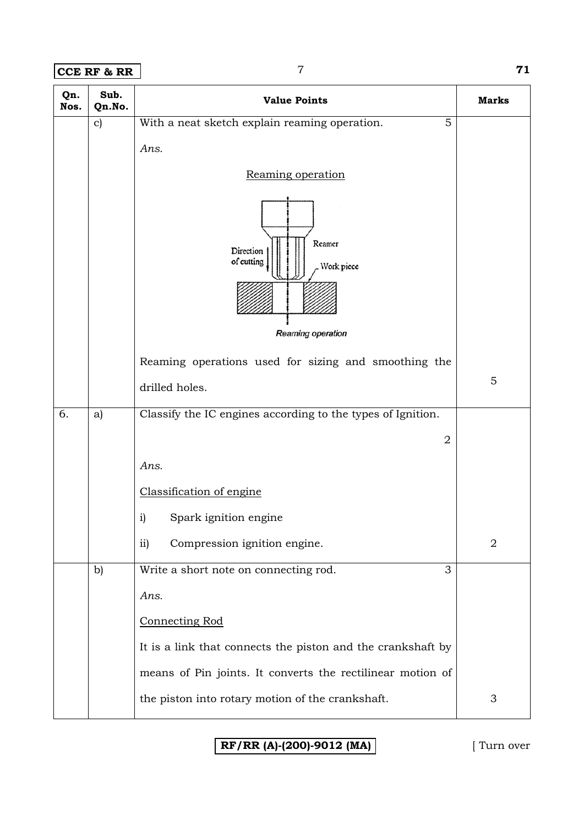#### **CCE RF & RR** 7 **71**

| Qn.<br>Nos. | Sub.<br>Qn.No. | <b>Value Points</b>                                                  | <b>Marks</b> |
|-------------|----------------|----------------------------------------------------------------------|--------------|
|             | $\mathbf{c})$  | With a neat sketch explain reaming operation.<br>5                   |              |
|             |                | Ans.                                                                 |              |
|             |                | Reaming operation                                                    |              |
|             |                | Reamer<br>Direction<br>of cutting<br>Work piece<br>Reaming operation |              |
|             |                | Reaming operations used for sizing and smoothing the                 |              |
|             |                | drilled holes.                                                       | 5            |
|             |                |                                                                      |              |
| 6.          | a)             | Classify the IC engines according to the types of Ignition.          |              |
|             |                | $\overline{2}$                                                       |              |
|             |                | Ans.                                                                 |              |
|             |                | Classification of engine                                             |              |
|             |                | Spark ignition engine<br>$\mathbf{i}$                                |              |
|             |                | Compression ignition engine.<br>ii)                                  | 2            |
|             | b)             | 3<br>Write a short note on connecting rod.                           |              |
|             |                | Ans.                                                                 |              |
|             |                | <b>Connecting Rod</b>                                                |              |
|             |                | It is a link that connects the piston and the crankshaft by          |              |
|             |                | means of Pin joints. It converts the rectilinear motion of           |              |
|             |                | the piston into rotary motion of the crankshaft.                     | 3            |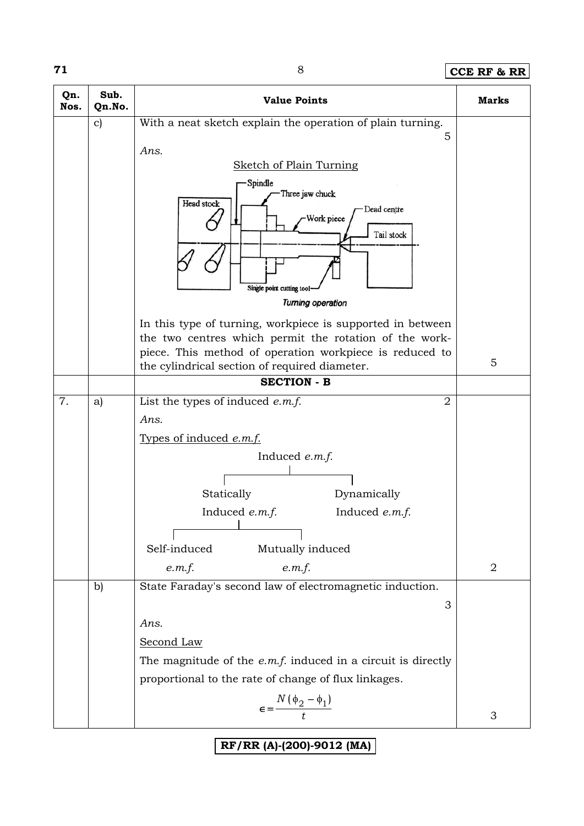#### **71** 8 **CCE RF & RR**

| Qn.<br>Nos. | Sub.<br>Qn.No. | <b>Value Points</b>                                                                                                                   | Marks          |
|-------------|----------------|---------------------------------------------------------------------------------------------------------------------------------------|----------------|
|             | $\mathbf{c})$  | With a neat sketch explain the operation of plain turning.                                                                            |                |
|             |                | 5<br>Ans.                                                                                                                             |                |
|             |                | <b>Sketch of Plain Turning</b>                                                                                                        |                |
|             |                | Spindle<br>Three jaw chuck<br>Head stock<br>Dead centre<br>Work piece<br>Tail stock<br>Single point cutting tool<br>Turning operation |                |
|             |                | In this type of turning, workpiece is supported in between                                                                            |                |
|             |                | the two centres which permit the rotation of the work-                                                                                |                |
|             |                | piece. This method of operation workpiece is reduced to<br>the cylindrical section of required diameter.                              | 5              |
|             |                | <b>SECTION - B</b>                                                                                                                    |                |
| 7.          | a)             | List the types of induced $e.m.f.$<br>$\overline{2}$                                                                                  |                |
|             |                | Ans.                                                                                                                                  |                |
|             |                | Types of induced e.m.f.                                                                                                               |                |
|             |                | Induced e.m.f.                                                                                                                        |                |
|             |                |                                                                                                                                       |                |
|             |                | Statically<br>Dynamically<br>Induced e.m.f.<br>Induced e.m.f.                                                                         |                |
|             |                |                                                                                                                                       |                |
|             |                | Self-induced<br>Mutually induced                                                                                                      |                |
|             |                | e.m.f.<br>e.m.f.                                                                                                                      | $\overline{2}$ |
|             | b)             | State Faraday's second law of electromagnetic induction.                                                                              |                |
|             |                | 3                                                                                                                                     |                |
|             |                | Ans.                                                                                                                                  |                |
|             |                | Second Law                                                                                                                            |                |
|             |                | The magnitude of the $e.m.f.$ induced in a circuit is directly<br>proportional to the rate of change of flux linkages.                |                |
|             |                |                                                                                                                                       |                |
|             |                | $\epsilon = \frac{N(\phi_2 - \phi_1)}{t}$                                                                                             | 3              |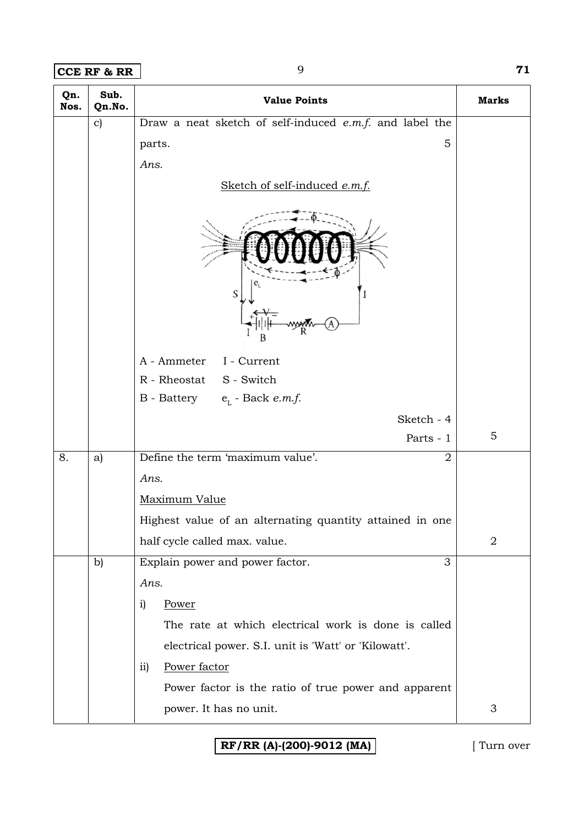**CCE RF & RR** 9 **71** 

| Qn.<br>Nos. | Sub.<br>Qn.No. | <b>Value Points</b>                                      | <b>Marks</b>   |
|-------------|----------------|----------------------------------------------------------|----------------|
|             | $\mathbf{c})$  | Draw a neat sketch of self-induced e.m.f. and label the  |                |
|             |                | 5<br>parts.                                              |                |
|             |                | Ans.                                                     |                |
|             |                | Sketch of self-induced e.m.f.                            |                |
|             |                | S                                                        |                |
|             |                | A - Ammeter I - Current                                  |                |
|             |                | R - Rheostat S - Switch                                  |                |
|             |                | B - Battery $e_L$ - Back <i>e.m.f.</i>                   |                |
|             |                | Sketch - 4                                               |                |
|             |                | Parts - 1                                                | 5              |
| 8.          | a)             | Define the term 'maximum value'.<br>$\overline{2}$       |                |
|             |                | Ans.                                                     |                |
|             |                | Maximum Value                                            |                |
|             |                | Highest value of an alternating quantity attained in one |                |
|             |                | half cycle called max. value.                            | $\overline{2}$ |
|             | $\mathbf{b}$   | Explain power and power factor.<br>3                     |                |
|             |                | Ans.                                                     |                |
|             |                | Power<br>i)                                              |                |
|             |                | The rate at which electrical work is done is called      |                |
|             |                | electrical power. S.I. unit is 'Watt' or 'Kilowatt'.     |                |
|             |                | Power factor<br>$\overline{11}$                          |                |
|             |                | Power factor is the ratio of true power and apparent     |                |
|             |                | power. It has no unit.                                   | 3              |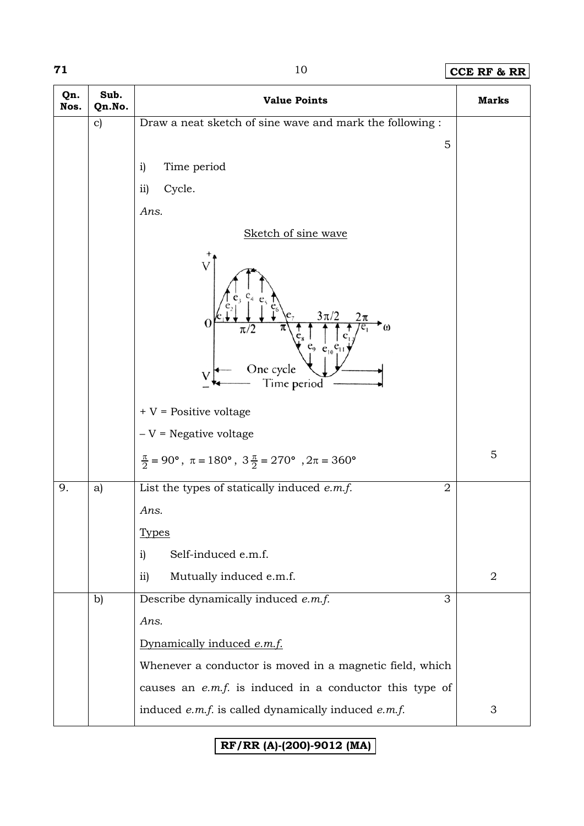## **71** 10 **CCE RF & RR**

| Qn.<br>Nos. | Sub.<br>Qn.No. | <b>Value Points</b>                                                         | <b>Marks</b>   |
|-------------|----------------|-----------------------------------------------------------------------------|----------------|
|             | $\mathbf{c})$  | Draw a neat sketch of sine wave and mark the following :                    |                |
|             |                | 5                                                                           |                |
|             |                | Time period<br>i)                                                           |                |
|             |                | ii)<br>Cycle.                                                               |                |
|             |                | Ans.                                                                        |                |
|             |                | Sketch of sine wave                                                         |                |
|             |                | $3\pi/2$<br>O<br>One cycle<br>Time period                                   |                |
|             |                | $+V$ = Positive voltage                                                     |                |
|             |                | $-V =$ Negative voltage                                                     |                |
|             |                | $\frac{\pi}{2}$ = 90°, $\pi$ = 180°, $3\frac{\pi}{2}$ = 270°, $2\pi$ = 360° | 5              |
| 9.          | a)             | List the types of statically induced $e.m.f.$<br>$\overline{2}$             |                |
|             |                | Ans.                                                                        |                |
|             |                | <b>Types</b>                                                                |                |
|             |                | Self-induced e.m.f.<br>i)                                                   |                |
|             |                | Mutually induced e.m.f.<br>$\overline{11}$                                  | $\overline{2}$ |
|             | b)             | Describe dynamically induced e.m.f.<br>3                                    |                |
|             |                | Ans.                                                                        |                |
|             |                | Dynamically induced e.m.f.                                                  |                |
|             |                | Whenever a conductor is moved in a magnetic field, which                    |                |
|             |                | causes an $e.m.f.$ is induced in a conductor this type of                   |                |
|             |                | induced $e.m.f.$ is called dynamically induced $e.m.f.$                     | 3              |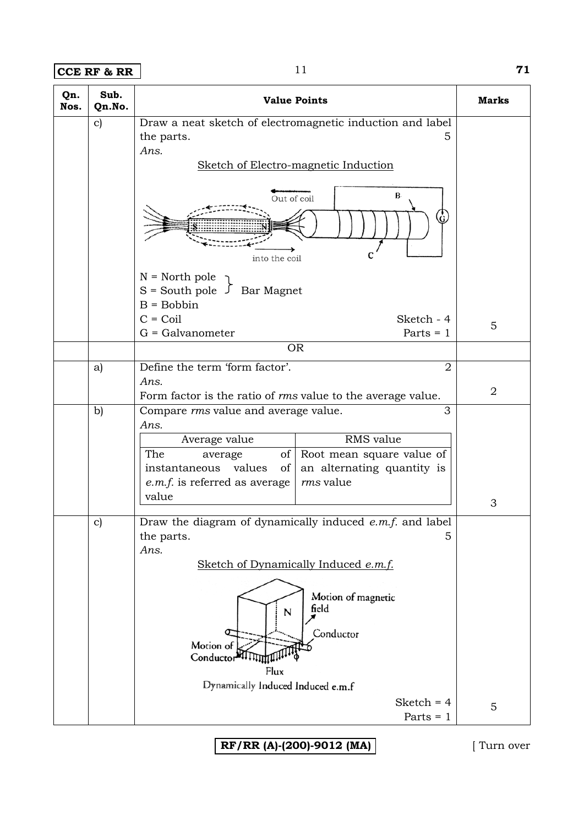**CCE RF & RR** 11 **71** 

| Qn.<br>Nos. | Sub.<br>Qn.No. | <b>Value Points</b>                                                                                                                                                                                                                                                | Marks          |
|-------------|----------------|--------------------------------------------------------------------------------------------------------------------------------------------------------------------------------------------------------------------------------------------------------------------|----------------|
|             | $\mathbf{c})$  | Draw a neat sketch of electromagnetic induction and label<br>the parts.<br>5<br>Ans.<br>Sketch of Electro-magnetic Induction<br>$B -$<br>Out of coil                                                                                                               |                |
|             |                | into the coil<br>$N = North pole$<br>$S =$ South pole $\int$ Bar Magnet<br>$B = Bobbin$<br>$C = Coil$<br>Sketch - 4<br>$G =$ Galvanometer<br>Parts $= 1$                                                                                                           | 5              |
|             |                | <b>OR</b>                                                                                                                                                                                                                                                          |                |
|             | a)             | Define the term 'form factor'.<br>$\overline{2}$<br>Ans.<br>Form factor is the ratio of <i>rms</i> value to the average value.                                                                                                                                     | $\overline{2}$ |
|             | b)             | Compare rms value and average value.<br>3<br>Ans.<br>RMS value<br>Average value<br>The<br>of Root mean square value of<br>average<br>instantaneous values<br>of<br>an alternating quantity is<br><i>rms</i> value<br><i>e.m.f.</i> is referred as average<br>value | 3              |
|             | $\mathbf{c})$  | Draw the diagram of dynamically induced e.m.f. and label<br>the parts.<br>5<br>Ans.<br>Sketch of Dynamically Induced e.m.f.<br>Motion of magnetic<br>field<br>N<br>Conductor<br>Motion of<br>Conductor <sup>24</sup><br>Flux<br>Dynamically Induced Induced e.m.f  |                |
|             |                | Sketch = $4$<br>Parts $= 1$                                                                                                                                                                                                                                        | 5              |